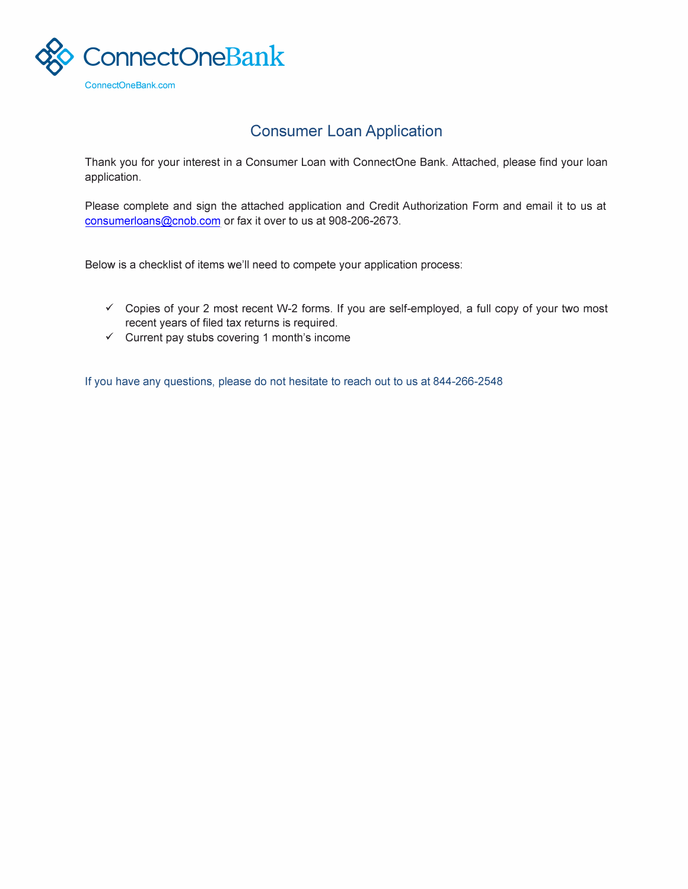

## **Consumer Loan Application**

Thank you for your interest in a Consumer Loan with ConnectOne Bank. Attached, please find your loan application.

Please complete and sign the attached application and Credit Authorization Form and email it to us at [consumerloans@cnob.com](mailto:consumerloans@cnob.com) or fax it over to us at 908-206-2673.

Below is a checklist of items we'll need to compete your application process:

- ✓ Copies of your 2 most recent W-2 forms. If you are self-employed, a full copy of your two most recent years of filed tax returns is required.
- ✓ Current pay stubs covering 1 month's income

If you have any questions, please do not hesitate to reach out to us at 844-266-2548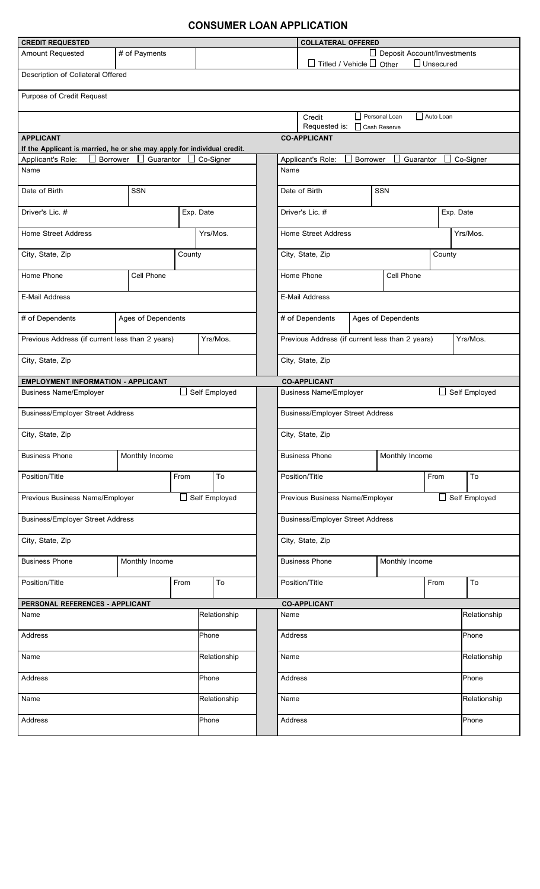## **CONSUMER LOAN APPLICATION**

| <b>CREDIT REQUESTED</b>                                                                       |                                           |                                                |              |                                         |                                       | <b>COLLATERAL OFFERED</b>                                             |                                              |                 |            |        |                      |              |  |
|-----------------------------------------------------------------------------------------------|-------------------------------------------|------------------------------------------------|--------------|-----------------------------------------|---------------------------------------|-----------------------------------------------------------------------|----------------------------------------------|-----------------|------------|--------|----------------------|--------------|--|
| Amount Requested<br># of Payments                                                             |                                           |                                                |              |                                         |                                       | Deposit Account/Investments                                           |                                              |                 |            |        |                      |              |  |
| $\Box$ Unsecured<br>$\Box$ Titled / Vehicle $\Box$ Other<br>Description of Collateral Offered |                                           |                                                |              |                                         |                                       |                                                                       |                                              |                 |            |        |                      |              |  |
|                                                                                               |                                           |                                                |              |                                         |                                       |                                                                       |                                              |                 |            |        |                      |              |  |
| Purpose of Credit Request                                                                     |                                           |                                                |              |                                         |                                       |                                                                       |                                              |                 |            |        |                      |              |  |
|                                                                                               |                                           |                                                |              |                                         |                                       | Personal Loan<br>Auto Loan<br>Credit<br>Requested is:<br>Cash Reserve |                                              |                 |            |        |                      |              |  |
| <b>APPLICANT</b>                                                                              |                                           |                                                |              |                                         |                                       |                                                                       | <b>CO-APPLICANT</b>                          |                 |            |        |                      |              |  |
| If the Applicant is married, he or she may apply for individual credit.                       |                                           |                                                |              |                                         |                                       |                                                                       |                                              |                 |            |        |                      |              |  |
| Applicant's Role:<br><b>Borrower</b><br>Name                                                  | Guarantor                                 |                                                | Co-Signer    |                                         |                                       | Name                                                                  | Applicant's Role:                            | <b>Borrower</b> | Guarantor  |        |                      | Co-Signer    |  |
|                                                                                               |                                           |                                                |              |                                         |                                       |                                                                       |                                              |                 |            |        |                      |              |  |
| Date of Birth                                                                                 | <b>SSN</b><br>Date of Birth<br><b>SSN</b> |                                                |              |                                         |                                       |                                                                       |                                              |                 |            |        |                      |              |  |
| Driver's Lic. #                                                                               |                                           |                                                | Exp. Date    |                                         |                                       |                                                                       | Driver's Lic. #                              |                 |            |        |                      | Exp. Date    |  |
| <b>Home Street Address</b>                                                                    |                                           |                                                |              | Yrs/Mos.                                |                                       |                                                                       | <b>Home Street Address</b><br>Yrs/Mos.       |                 |            |        |                      |              |  |
| City, State, Zip                                                                              |                                           | County                                         |              |                                         |                                       |                                                                       | City, State, Zip                             |                 |            | County |                      |              |  |
| Home Phone                                                                                    | Cell Phone                                |                                                |              |                                         |                                       |                                                                       | Home Phone<br>Cell Phone                     |                 |            |        |                      |              |  |
| <b>E-Mail Address</b>                                                                         |                                           |                                                |              |                                         |                                       |                                                                       | <b>E-Mail Address</b>                        |                 |            |        |                      |              |  |
| # of Dependents                                                                               | Ages of Dependents                        |                                                |              |                                         | # of Dependents<br>Ages of Dependents |                                                                       |                                              |                 |            |        |                      |              |  |
| Previous Address (if current less than 2 years)                                               |                                           |                                                |              | Yrs/Mos.                                |                                       | Previous Address (if current less than 2 years)                       |                                              |                 |            |        |                      | Yrs/Mos.     |  |
| City, State, Zip                                                                              |                                           |                                                |              |                                         |                                       | City, State, Zip                                                      |                                              |                 |            |        |                      |              |  |
| <b>EMPLOYMENT INFORMATION - APPLICANT</b>                                                     |                                           |                                                |              |                                         |                                       |                                                                       | <b>CO-APPLICANT</b>                          |                 |            |        |                      |              |  |
| <b>Business Name/Employer</b>                                                                 |                                           | Self Employed<br><b>Business Name/Employer</b> |              |                                         |                                       |                                                                       | Self Employed<br>$\mathcal{L}_{\mathcal{A}}$ |                 |            |        |                      |              |  |
| <b>Business/Employer Street Address</b>                                                       |                                           |                                                |              |                                         |                                       |                                                                       | <b>Business/Employer Street Address</b>      |                 |            |        |                      |              |  |
|                                                                                               |                                           |                                                |              |                                         |                                       |                                                                       |                                              |                 |            |        |                      |              |  |
| City, State, Zip                                                                              |                                           |                                                |              |                                         |                                       |                                                                       | City, State, Zip                             |                 |            |        |                      |              |  |
| <b>Business Phone</b><br>Monthly Income                                                       |                                           |                                                |              |                                         |                                       |                                                                       | Monthly Income<br><b>Business Phone</b>      |                 |            |        |                      |              |  |
| Position/Title                                                                                |                                           | From                                           | To           |                                         |                                       |                                                                       | Position/Title                               |                 | To<br>From |        |                      |              |  |
| Previous Business Name/Employer                                                               |                                           |                                                |              | Self Employed                           |                                       | Previous Business Name/Employer                                       |                                              |                 |            |        | $\Box$ Self Employed |              |  |
| <b>Business/Employer Street Address</b>                                                       |                                           |                                                |              | <b>Business/Employer Street Address</b> |                                       |                                                                       |                                              |                 |            |        |                      |              |  |
| City, State, Zip                                                                              |                                           |                                                |              | City, State, Zip                        |                                       |                                                                       |                                              |                 |            |        |                      |              |  |
| <b>Business Phone</b><br>Monthly Income                                                       |                                           |                                                |              |                                         |                                       |                                                                       | <b>Business Phone</b><br>Monthly Income      |                 |            |        |                      |              |  |
| Position/Title<br>From                                                                        |                                           |                                                | To           |                                         |                                       |                                                                       | Position/Title                               |                 |            | From   |                      | To           |  |
| PERSONAL REFERENCES - APPLICANT                                                               |                                           |                                                |              |                                         |                                       |                                                                       | <b>CO-APPLICANT</b>                          |                 |            |        |                      |              |  |
| Name                                                                                          |                                           |                                                |              | Relationship                            |                                       |                                                                       | Name                                         |                 |            |        |                      | Relationship |  |
| <b>Address</b>                                                                                |                                           |                                                |              | Phone                                   |                                       |                                                                       | <b>Address</b>                               |                 |            |        |                      | Phone        |  |
| Name                                                                                          |                                           |                                                | Relationship |                                         |                                       | Name                                                                  |                                              |                 |            |        |                      | Relationship |  |
| Address                                                                                       |                                           |                                                |              | Phone                                   |                                       |                                                                       | <b>Address</b>                               |                 |            |        |                      | Phone        |  |
| Name                                                                                          |                                           |                                                | Relationship |                                         |                                       | Name                                                                  |                                              |                 |            |        |                      | Relationship |  |
| Address                                                                                       |                                           |                                                |              | Phone                                   |                                       |                                                                       | Address                                      |                 |            |        |                      | Phone        |  |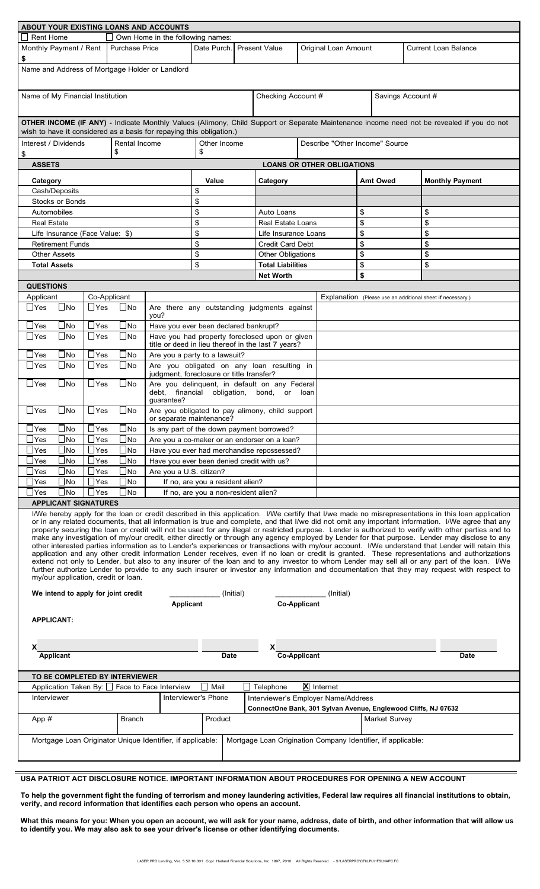| ABOUT YOUR EXISTING LOANS AND ACCOUNTS<br>$\Box$ Rent Home<br>Own Home in the following names:                                                                                                                                                                                                                                                                                                                                                                                                                                                                                                                                                                                                                                                                                                                                                                                                                                                                                                                                                                                                                                                                                                                                                                |                                  |                          |                                |                                                                                                          |                                                             |                    |                                                              |                                   |  |                                                            |                        |  |  |
|---------------------------------------------------------------------------------------------------------------------------------------------------------------------------------------------------------------------------------------------------------------------------------------------------------------------------------------------------------------------------------------------------------------------------------------------------------------------------------------------------------------------------------------------------------------------------------------------------------------------------------------------------------------------------------------------------------------------------------------------------------------------------------------------------------------------------------------------------------------------------------------------------------------------------------------------------------------------------------------------------------------------------------------------------------------------------------------------------------------------------------------------------------------------------------------------------------------------------------------------------------------|----------------------------------|--------------------------|--------------------------------|----------------------------------------------------------------------------------------------------------|-------------------------------------------------------------|--------------------|--------------------------------------------------------------|-----------------------------------|--|------------------------------------------------------------|------------------------|--|--|
| Monthly Payment / Rent                                                                                                                                                                                                                                                                                                                                                                                                                                                                                                                                                                                                                                                                                                                                                                                                                                                                                                                                                                                                                                                                                                                                                                                                                                        |                                  | <b>Purchase Price</b>    |                                |                                                                                                          | Date Purch.<br><b>Present Value</b><br>Original Loan Amount |                    |                                                              |                                   |  | <b>Current Loan Balance</b>                                |                        |  |  |
| \$                                                                                                                                                                                                                                                                                                                                                                                                                                                                                                                                                                                                                                                                                                                                                                                                                                                                                                                                                                                                                                                                                                                                                                                                                                                            |                                  |                          |                                |                                                                                                          |                                                             |                    |                                                              |                                   |  |                                                            |                        |  |  |
| Name and Address of Mortgage Holder or Landlord                                                                                                                                                                                                                                                                                                                                                                                                                                                                                                                                                                                                                                                                                                                                                                                                                                                                                                                                                                                                                                                                                                                                                                                                               |                                  |                          |                                |                                                                                                          |                                                             |                    |                                                              |                                   |  |                                                            |                        |  |  |
| Name of My Financial Institution                                                                                                                                                                                                                                                                                                                                                                                                                                                                                                                                                                                                                                                                                                                                                                                                                                                                                                                                                                                                                                                                                                                                                                                                                              |                                  |                          |                                |                                                                                                          |                                                             | Checking Account # |                                                              |                                   |  | Savings Account #                                          |                        |  |  |
| OTHER INCOME (IF ANY) - Indicate Monthly Values (Alimony, Child Support or Separate Maintenance income need not be revealed if you do not<br>wish to have it considered as a basis for repaying this obligation.)                                                                                                                                                                                                                                                                                                                                                                                                                                                                                                                                                                                                                                                                                                                                                                                                                                                                                                                                                                                                                                             |                                  |                          |                                |                                                                                                          |                                                             |                    |                                                              |                                   |  |                                                            |                        |  |  |
| Interest / Dividends<br>\$                                                                                                                                                                                                                                                                                                                                                                                                                                                                                                                                                                                                                                                                                                                                                                                                                                                                                                                                                                                                                                                                                                                                                                                                                                    |                                  | Rental Income<br>\$      |                                | Other Income<br>\$                                                                                       |                                                             |                    |                                                              | Describe "Other Income" Source    |  |                                                            |                        |  |  |
| <b>ASSETS</b>                                                                                                                                                                                                                                                                                                                                                                                                                                                                                                                                                                                                                                                                                                                                                                                                                                                                                                                                                                                                                                                                                                                                                                                                                                                 |                                  |                          |                                |                                                                                                          |                                                             |                    |                                                              | <b>LOANS OR OTHER OBLIGATIONS</b> |  |                                                            |                        |  |  |
| Category                                                                                                                                                                                                                                                                                                                                                                                                                                                                                                                                                                                                                                                                                                                                                                                                                                                                                                                                                                                                                                                                                                                                                                                                                                                      |                                  |                          |                                |                                                                                                          | Value                                                       |                    | Category                                                     |                                   |  | <b>Amt Owed</b>                                            | <b>Monthly Payment</b> |  |  |
|                                                                                                                                                                                                                                                                                                                                                                                                                                                                                                                                                                                                                                                                                                                                                                                                                                                                                                                                                                                                                                                                                                                                                                                                                                                               | Cash/Deposits                    |                          |                                |                                                                                                          | \$                                                          |                    |                                                              |                                   |  |                                                            |                        |  |  |
|                                                                                                                                                                                                                                                                                                                                                                                                                                                                                                                                                                                                                                                                                                                                                                                                                                                                                                                                                                                                                                                                                                                                                                                                                                                               | <b>Stocks or Bonds</b>           |                          |                                |                                                                                                          | \$                                                          |                    |                                                              |                                   |  |                                                            |                        |  |  |
| Automobiles                                                                                                                                                                                                                                                                                                                                                                                                                                                                                                                                                                                                                                                                                                                                                                                                                                                                                                                                                                                                                                                                                                                                                                                                                                                   |                                  |                          |                                |                                                                                                          | \$                                                          |                    | Auto Loans                                                   |                                   |  | \$                                                         | \$                     |  |  |
| <b>Real Estate</b>                                                                                                                                                                                                                                                                                                                                                                                                                                                                                                                                                                                                                                                                                                                                                                                                                                                                                                                                                                                                                                                                                                                                                                                                                                            |                                  |                          |                                |                                                                                                          | \$                                                          |                    | <b>Real Estate Loans</b>                                     |                                   |  | \$                                                         | \$                     |  |  |
|                                                                                                                                                                                                                                                                                                                                                                                                                                                                                                                                                                                                                                                                                                                                                                                                                                                                                                                                                                                                                                                                                                                                                                                                                                                               | Life Insurance (Face Value: \$)  |                          |                                |                                                                                                          | \$                                                          |                    | Life Insurance Loans                                         |                                   |  | \$                                                         | \$                     |  |  |
|                                                                                                                                                                                                                                                                                                                                                                                                                                                                                                                                                                                                                                                                                                                                                                                                                                                                                                                                                                                                                                                                                                                                                                                                                                                               | <b>Retirement Funds</b>          |                          |                                |                                                                                                          | \$                                                          |                    |                                                              | <b>Credit Card Debt</b>           |  |                                                            | \$                     |  |  |
|                                                                                                                                                                                                                                                                                                                                                                                                                                                                                                                                                                                                                                                                                                                                                                                                                                                                                                                                                                                                                                                                                                                                                                                                                                                               | <b>Other Assets</b>              |                          |                                |                                                                                                          | \$                                                          |                    | <b>Other Obligations</b>                                     |                                   |  | \$                                                         | \$                     |  |  |
|                                                                                                                                                                                                                                                                                                                                                                                                                                                                                                                                                                                                                                                                                                                                                                                                                                                                                                                                                                                                                                                                                                                                                                                                                                                               | <b>Total Assets</b>              |                          |                                |                                                                                                          | \$                                                          |                    | <b>Total Liabilities</b>                                     |                                   |  | \$                                                         | \$                     |  |  |
|                                                                                                                                                                                                                                                                                                                                                                                                                                                                                                                                                                                                                                                                                                                                                                                                                                                                                                                                                                                                                                                                                                                                                                                                                                                               |                                  |                          |                                |                                                                                                          |                                                             |                    | <b>Net Worth</b>                                             |                                   |  | \$                                                         |                        |  |  |
| <b>QUESTIONS</b>                                                                                                                                                                                                                                                                                                                                                                                                                                                                                                                                                                                                                                                                                                                                                                                                                                                                                                                                                                                                                                                                                                                                                                                                                                              |                                  |                          |                                |                                                                                                          |                                                             |                    |                                                              |                                   |  |                                                            |                        |  |  |
| Applicant                                                                                                                                                                                                                                                                                                                                                                                                                                                                                                                                                                                                                                                                                                                                                                                                                                                                                                                                                                                                                                                                                                                                                                                                                                                     |                                  | Co-Applicant             |                                |                                                                                                          |                                                             |                    |                                                              |                                   |  | Explanation (Please use an additional sheet if necessary.) |                        |  |  |
| $\Box$ Yes                                                                                                                                                                                                                                                                                                                                                                                                                                                                                                                                                                                                                                                                                                                                                                                                                                                                                                                                                                                                                                                                                                                                                                                                                                                    | $\square$ No                     | $\Box$ Yes               | $\Box$ No                      |                                                                                                          |                                                             |                    |                                                              |                                   |  |                                                            |                        |  |  |
| $\mathsf{\mathsf{I}Yes}$                                                                                                                                                                                                                                                                                                                                                                                                                                                                                                                                                                                                                                                                                                                                                                                                                                                                                                                                                                                                                                                                                                                                                                                                                                      | $\square$ No                     | $\Box$ Yes               | $\Box$ No                      | you?                                                                                                     | Are there any outstanding judgments against                 |                    |                                                              |                                   |  |                                                            |                        |  |  |
| $\mathsf{\neg\mathsf{Yes}}$                                                                                                                                                                                                                                                                                                                                                                                                                                                                                                                                                                                                                                                                                                                                                                                                                                                                                                                                                                                                                                                                                                                                                                                                                                   | $\Box$ No                        | $\sqcup$ Yes             | $\square$ No                   | Have you ever been declared bankrupt?<br>Have you had property foreclosed upon or given                  |                                                             |                    |                                                              |                                   |  |                                                            |                        |  |  |
|                                                                                                                                                                                                                                                                                                                                                                                                                                                                                                                                                                                                                                                                                                                                                                                                                                                                                                                                                                                                                                                                                                                                                                                                                                                               |                                  |                          |                                | title or deed in lieu thereof in the last 7 years?                                                       |                                                             |                    |                                                              |                                   |  |                                                            |                        |  |  |
| $\mathsf{\mathsf{I}Yes}$                                                                                                                                                                                                                                                                                                                                                                                                                                                                                                                                                                                                                                                                                                                                                                                                                                                                                                                                                                                                                                                                                                                                                                                                                                      | $\Box$ No                        | $\Box$ Yes               | $\Box$ No                      | Are you a party to a lawsuit?                                                                            |                                                             |                    |                                                              |                                   |  |                                                            |                        |  |  |
| $\mathsf{\neg}$ Yes                                                                                                                                                                                                                                                                                                                                                                                                                                                                                                                                                                                                                                                                                                                                                                                                                                                                                                                                                                                                                                                                                                                                                                                                                                           | $\Box$ No                        | $\sqcup$ Yes             | $\square$ No                   | Are you obligated on any loan resulting in<br>judgment, foreclosure or title transfer?                   |                                                             |                    |                                                              |                                   |  |                                                            |                        |  |  |
| $\sqcup$ Yes                                                                                                                                                                                                                                                                                                                                                                                                                                                                                                                                                                                                                                                                                                                                                                                                                                                                                                                                                                                                                                                                                                                                                                                                                                                  | $\Box$ No                        | $\Box$ Yes               | $\square$ No                   | Are you delinquent, in default on any Federal<br>debt, financial obligation, bond, or loan<br>quarantee? |                                                             |                    |                                                              |                                   |  |                                                            |                        |  |  |
|                                                                                                                                                                                                                                                                                                                                                                                                                                                                                                                                                                                                                                                                                                                                                                                                                                                                                                                                                                                                                                                                                                                                                                                                                                                               | $\Box$ Yes $\Box$ No             | $ \Box$ Yes              | $\Box$ No                      | Are you obligated to pay alimony, child support<br>or separate maintenance?                              |                                                             |                    |                                                              |                                   |  |                                                            |                        |  |  |
| $\mathsf{\neg\mathsf{Yes}}$                                                                                                                                                                                                                                                                                                                                                                                                                                                                                                                                                                                                                                                                                                                                                                                                                                                                                                                                                                                                                                                                                                                                                                                                                                   | $\Box$ No                        | $\Box$ Yes               | $\Box$ No                      | Is any part of the down payment borrowed?                                                                |                                                             |                    |                                                              |                                   |  |                                                            |                        |  |  |
| $\mathsf{\rceil}$ Yes                                                                                                                                                                                                                                                                                                                                                                                                                                                                                                                                                                                                                                                                                                                                                                                                                                                                                                                                                                                                                                                                                                                                                                                                                                         | $\square$ No                     | $\Box$ Yes               | $\Box$ No                      | Are you a co-maker or an endorser on a loan?                                                             |                                                             |                    |                                                              |                                   |  |                                                            |                        |  |  |
| Yes                                                                                                                                                                                                                                                                                                                                                                                                                                                                                                                                                                                                                                                                                                                                                                                                                                                                                                                                                                                                                                                                                                                                                                                                                                                           | $\Box$ No                        | $\Box$ Yes               | $\square$ No                   | Have you ever had merchandise repossessed?                                                               |                                                             |                    |                                                              |                                   |  |                                                            |                        |  |  |
| Yes                                                                                                                                                                                                                                                                                                                                                                                                                                                                                                                                                                                                                                                                                                                                                                                                                                                                                                                                                                                                                                                                                                                                                                                                                                                           | $\square$ No<br>$\Box$ No        | $\Box$ Yes<br>$\Box$ Yes | $\Box$ No                      | Have you ever been denied credit with us?                                                                |                                                             |                    |                                                              |                                   |  |                                                            |                        |  |  |
| Yes                                                                                                                                                                                                                                                                                                                                                                                                                                                                                                                                                                                                                                                                                                                                                                                                                                                                                                                                                                                                                                                                                                                                                                                                                                                           |                                  |                          | $\bigsqcup$ No                 | Are you a U.S. citizen?                                                                                  |                                                             |                    |                                                              |                                   |  |                                                            |                        |  |  |
| Yes                                                                                                                                                                                                                                                                                                                                                                                                                                                                                                                                                                                                                                                                                                                                                                                                                                                                                                                                                                                                                                                                                                                                                                                                                                                           | $\bigsqcup$ No                   | $\Box$ Yes               | $\Box$ No                      | If no, are you a resident alien?                                                                         |                                                             |                    |                                                              |                                   |  |                                                            |                        |  |  |
| $\mathsf{\rceil}$ Yes                                                                                                                                                                                                                                                                                                                                                                                                                                                                                                                                                                                                                                                                                                                                                                                                                                                                                                                                                                                                                                                                                                                                                                                                                                         | $\bigsqcup$ No                   | $\bigsqcup$ Yes          | $\bigsqcup$ No                 | If no, are you a non-resident alien?                                                                     |                                                             |                    |                                                              |                                   |  |                                                            |                        |  |  |
| <b>APPLICANT SIGNATURES</b>                                                                                                                                                                                                                                                                                                                                                                                                                                                                                                                                                                                                                                                                                                                                                                                                                                                                                                                                                                                                                                                                                                                                                                                                                                   |                                  |                          |                                |                                                                                                          |                                                             |                    |                                                              |                                   |  |                                                            |                        |  |  |
| I/We hereby apply for the loan or credit described in this application. I/We certify that I/we made no misrepresentations in this loan application<br>or in any related documents, that all information is true and complete, and that I/we did not omit any important information. I/We agree that any<br>property securing the loan or credit will not be used for any illegal or restricted purpose. Lender is authorized to verify with other parties and to<br>make any investigation of my/our credit, either directly or through any agency employed by Lender for that purpose. Lender may disclose to any<br>other interested parties information as to Lender's experiences or transactions with my/our account. I/We understand that Lender will retain this<br>application and any other credit information Lender receives, even if no loan or credit is granted. These representations and authorizations<br>extend not only to Lender, but also to any insurer of the loan and to any investor to whom Lender may sell all or any part of the loan. I/We<br>further authorize Lender to provide to any such insurer or investor any information and documentation that they may request with respect to<br>my/our application, credit or loan. |                                  |                          |                                |                                                                                                          |                                                             |                    |                                                              |                                   |  |                                                            |                        |  |  |
| We intend to apply for joint credit<br>(Initial)<br>(Initial)                                                                                                                                                                                                                                                                                                                                                                                                                                                                                                                                                                                                                                                                                                                                                                                                                                                                                                                                                                                                                                                                                                                                                                                                 |                                  |                          |                                |                                                                                                          |                                                             |                    |                                                              |                                   |  |                                                            |                        |  |  |
|                                                                                                                                                                                                                                                                                                                                                                                                                                                                                                                                                                                                                                                                                                                                                                                                                                                                                                                                                                                                                                                                                                                                                                                                                                                               | <b>Co-Applicant</b><br>Applicant |                          |                                |                                                                                                          |                                                             |                    |                                                              |                                   |  |                                                            |                        |  |  |
| <b>APPLICANT:</b>                                                                                                                                                                                                                                                                                                                                                                                                                                                                                                                                                                                                                                                                                                                                                                                                                                                                                                                                                                                                                                                                                                                                                                                                                                             |                                  |                          |                                |                                                                                                          |                                                             |                    |                                                              |                                   |  |                                                            |                        |  |  |
|                                                                                                                                                                                                                                                                                                                                                                                                                                                                                                                                                                                                                                                                                                                                                                                                                                                                                                                                                                                                                                                                                                                                                                                                                                                               | х                                |                          |                                |                                                                                                          |                                                             |                    |                                                              |                                   |  |                                                            |                        |  |  |
| <b>Co-Applicant</b><br>Applicant<br>Date<br>Date                                                                                                                                                                                                                                                                                                                                                                                                                                                                                                                                                                                                                                                                                                                                                                                                                                                                                                                                                                                                                                                                                                                                                                                                              |                                  |                          |                                |                                                                                                          |                                                             |                    |                                                              |                                   |  |                                                            |                        |  |  |
|                                                                                                                                                                                                                                                                                                                                                                                                                                                                                                                                                                                                                                                                                                                                                                                                                                                                                                                                                                                                                                                                                                                                                                                                                                                               |                                  |                          | TO BE COMPLETED BY INTERVIEWER |                                                                                                          |                                                             |                    |                                                              |                                   |  |                                                            |                        |  |  |
|                                                                                                                                                                                                                                                                                                                                                                                                                                                                                                                                                                                                                                                                                                                                                                                                                                                                                                                                                                                                                                                                                                                                                                                                                                                               |                                  |                          |                                | Application Taken By: □ Face to Face Interview                                                           | Mail<br>$\mathbf{I}$                                        |                    | $\mathbf{\Sigma}$ Internet<br>Telephone                      |                                   |  |                                                            |                        |  |  |
| Interviewer                                                                                                                                                                                                                                                                                                                                                                                                                                                                                                                                                                                                                                                                                                                                                                                                                                                                                                                                                                                                                                                                                                                                                                                                                                                   |                                  |                          | Interviewer's Phone            | Interviewer's Employer Name/Address<br>ConnectOne Bank, 301 Sylvan Avenue, Englewood Cliffs, NJ 07632    |                                                             |                    |                                                              |                                   |  |                                                            |                        |  |  |
| App #                                                                                                                                                                                                                                                                                                                                                                                                                                                                                                                                                                                                                                                                                                                                                                                                                                                                                                                                                                                                                                                                                                                                                                                                                                                         |                                  |                          | <b>Branch</b>                  |                                                                                                          | Product                                                     |                    |                                                              |                                   |  | <b>Market Survey</b>                                       |                        |  |  |
|                                                                                                                                                                                                                                                                                                                                                                                                                                                                                                                                                                                                                                                                                                                                                                                                                                                                                                                                                                                                                                                                                                                                                                                                                                                               |                                  |                          |                                | Mortgage Loan Originator Unique Identifier, if applicable:                                               |                                                             |                    | Mortgage Loan Origination Company Identifier, if applicable: |                                   |  |                                                            |                        |  |  |
|                                                                                                                                                                                                                                                                                                                                                                                                                                                                                                                                                                                                                                                                                                                                                                                                                                                                                                                                                                                                                                                                                                                                                                                                                                                               |                                  |                          |                                |                                                                                                          |                                                             |                    |                                                              |                                   |  |                                                            |                        |  |  |

**USA PATRIOT ACT DISCLOSURE NOTICE. IMPORTANT INFORMATION ABOUT PROCEDURES FOR OPENING A NEW ACCOUNT**

**To help the government fight the funding of terrorism and money laundering activities, Federal law requires all financial institutions to obtain, verify, and record information that identifies each person who opens an account.**

**What this means for you: When you open an account, we will ask for your name, address, date of birth, and other information that will allow us to identify you. We may also ask to see your driver's license or other identifying documents.**